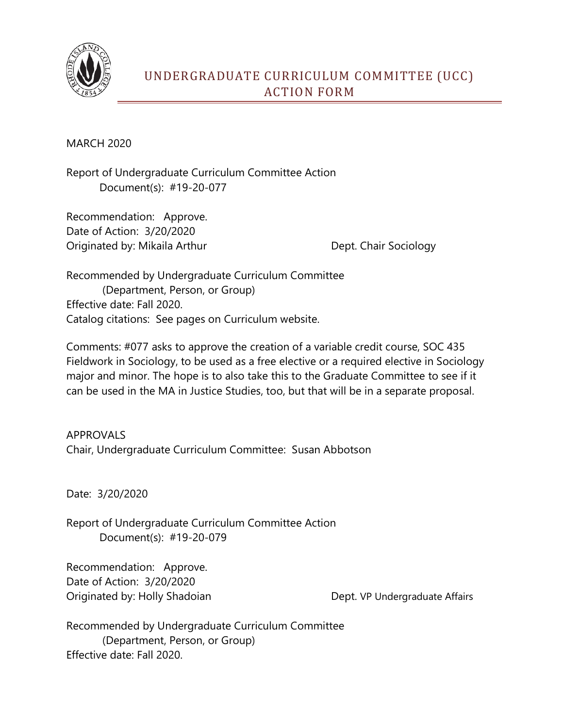

## UNDERGRADUATE CURRICULUM COMMITTEE (UCC) ACTION FORM

MARCH 2020

Report of Undergraduate Curriculum Committee Action Document(s): #19-20-077

Recommendation: Approve. Date of Action: 3/20/2020 Originated by: Mikaila Arthur Dept. Chair Sociology

Recommended by Undergraduate Curriculum Committee (Department, Person, or Group) Effective date: Fall 2020. Catalog citations: See pages on Curriculum website.

Comments: #077 asks to approve the creation of a variable credit course, SOC 435 Fieldwork in Sociology, to be used as a free elective or a required elective in Sociology major and minor. The hope is to also take this to the Graduate Committee to see if it can be used in the MA in Justice Studies, too, but that will be in a separate proposal.

APPROVALS Chair, Undergraduate Curriculum Committee: Susan Abbotson

Date: 3/20/2020

Report of Undergraduate Curriculum Committee Action Document(s): #19-20-079

Recommendation: Approve. Date of Action: 3/20/2020 Originated by: Holly Shadoian Dept. VP Undergraduate Affairs

Recommended by Undergraduate Curriculum Committee (Department, Person, or Group) Effective date: Fall 2020.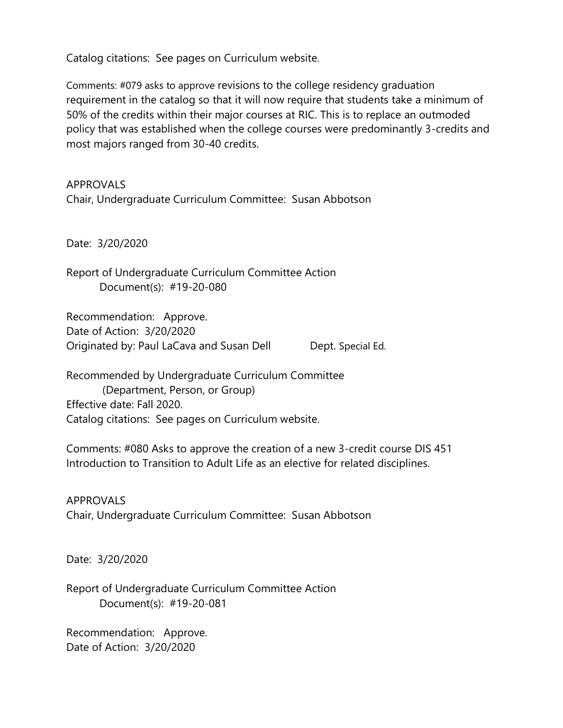Catalog citations: See pages on Curriculum website.

Comments: #079 asks to approve revisions to the college residency graduation requirement in the catalog so that it will now require that students take a minimum of 50% of the credits within their major courses at RIC. This is to replace an outmoded policy that was established when the college courses were predominantly 3-credits and most majors ranged from 30-40 credits.

## APPROVALS

Chair, Undergraduate Curriculum Committee: Susan Abbotson

Date: 3/20/2020

Report of Undergraduate Curriculum Committee Action Document(s): #19-20-080

Recommendation: Approve. Date of Action: 3/20/2020 Originated by: Paul LaCava and Susan Dell Dept. Special Ed.

Recommended by Undergraduate Curriculum Committee (Department, Person, or Group) Effective date: Fall 2020. Catalog citations: See pages on Curriculum website.

Comments: #080 Asks to approve the creation of a new 3-credit course DIS 451 Introduction to Transition to Adult Life as an elective for related disciplines.

APPROVALS Chair, Undergraduate Curriculum Committee: Susan Abbotson

Date: 3/20/2020

Report of Undergraduate Curriculum Committee Action Document(s): #19-20-081

Recommendation: Approve. Date of Action: 3/20/2020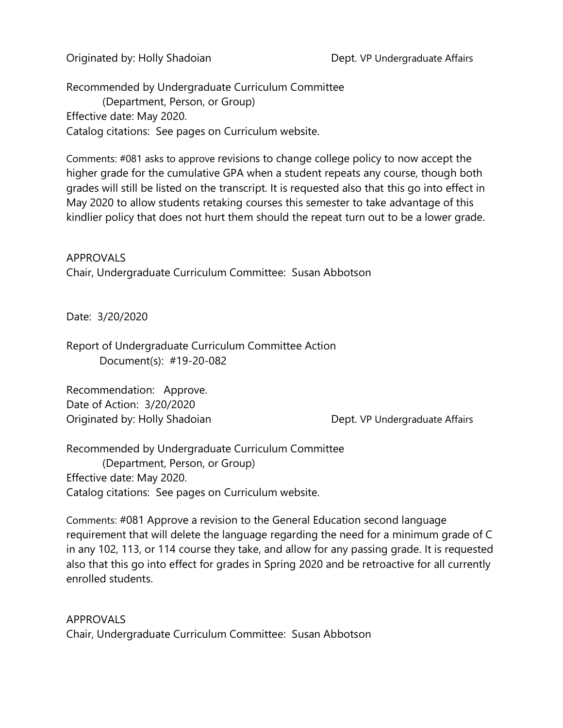Originated by: Holly Shadoian Dept. VP Undergraduate Affairs

Recommended by Undergraduate Curriculum Committee (Department, Person, or Group) Effective date: May 2020. Catalog citations: See pages on Curriculum website.

Comments: #081 asks to approve revisions to change college policy to now accept the higher grade for the cumulative GPA when a student repeats any course, though both grades will still be listed on the transcript. It is requested also that this go into effect in May 2020 to allow students retaking courses this semester to take advantage of this kindlier policy that does not hurt them should the repeat turn out to be a lower grade.

APPROVALS Chair, Undergraduate Curriculum Committee: Susan Abbotson

Date: 3/20/2020

Report of Undergraduate Curriculum Committee Action Document(s): #19-20-082

Recommendation: Approve. Date of Action: 3/20/2020 Originated by: Holly Shadoian Dept. VP Undergraduate Affairs

Recommended by Undergraduate Curriculum Committee (Department, Person, or Group) Effective date: May 2020. Catalog citations: See pages on Curriculum website.

Comments: #081 Approve a revision to the General Education second language requirement that will delete the language regarding the need for a minimum grade of C in any 102, 113, or 114 course they take, and allow for any passing grade. It is requested also that this go into effect for grades in Spring 2020 and be retroactive for all currently enrolled students.

APPROVALS Chair, Undergraduate Curriculum Committee: Susan Abbotson